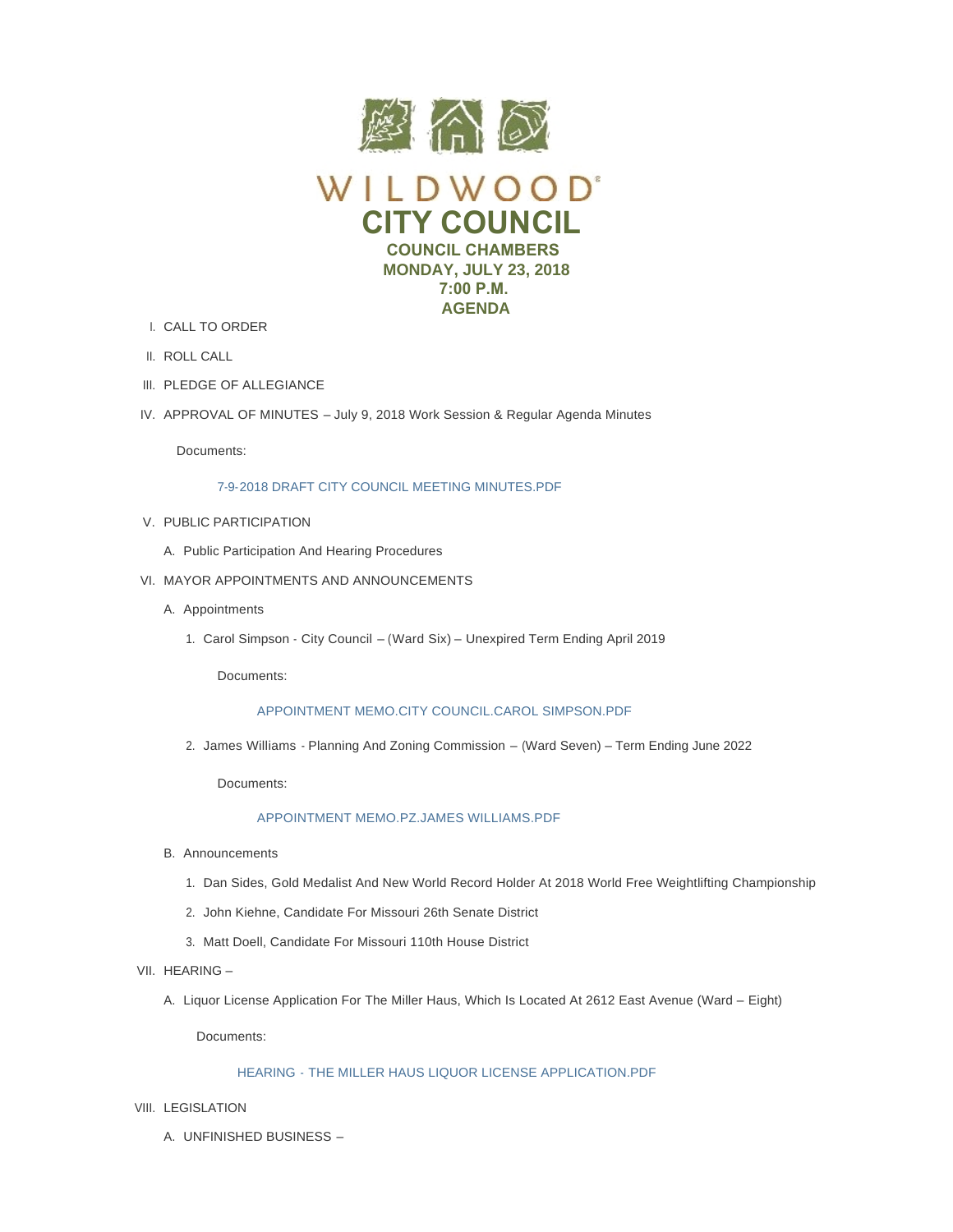

- CALL TO ORDER I.
- II. ROLL CALL
- III. PLEDGE OF ALLEGIANCE
- IV. APPROVAL OF MINUTES July 9, 2018 Work Session & Regular Agenda Minutes

Documents:

# [7-9-2018 DRAFT CITY COUNCIL MEETING MINUTES.PDF](https://www.cityofwildwood.com/AgendaCenter/ViewFile/Item/16314?fileID=23766)

- V. PUBLIC PARTICIPATION
	- A. Public Participation And Hearing Procedures
- VI. MAYOR APPOINTMENTS AND ANNOUNCEMENTS
	- A. Appointments
		- 1. Carol Simpson City Council (Ward Six) Unexpired Term Ending April 2019

Documents:

# [APPOINTMENT MEMO.CITY COUNCIL.CAROL SIMPSON.PDF](https://www.cityofwildwood.com/AgendaCenter/ViewFile/Item/16363?fileID=23782)

2. James Williams - Planning And Zoning Commission – (Ward Seven) – Term Ending June 2022

Documents:

# [APPOINTMENT MEMO.PZ.JAMES WILLIAMS.PDF](https://www.cityofwildwood.com/AgendaCenter/ViewFile/Item/16320?fileID=23768)

- B. Announcements
	- 1. Dan Sides, Gold Medalist And New World Record Holder At 2018 World Free Weightlifting Championship
	- 2. John Kiehne, Candidate For Missouri 26th Senate District
	- Matt Doell, Candidate For Missouri 110th House District 3.
- VII. HEARING
	- A. Liquor License Application For The Miller Haus, Which Is Located At 2612 East Avenue (Ward Eight)

Documents:

# HEARING - [THE MILLER HAUS LIQUOR LICENSE APPLICATION.PDF](https://www.cityofwildwood.com/AgendaCenter/ViewFile/Item/16389?fileID=23801)

- VIII. LEGISLATION
	- UNFINISHED BUSINESS A.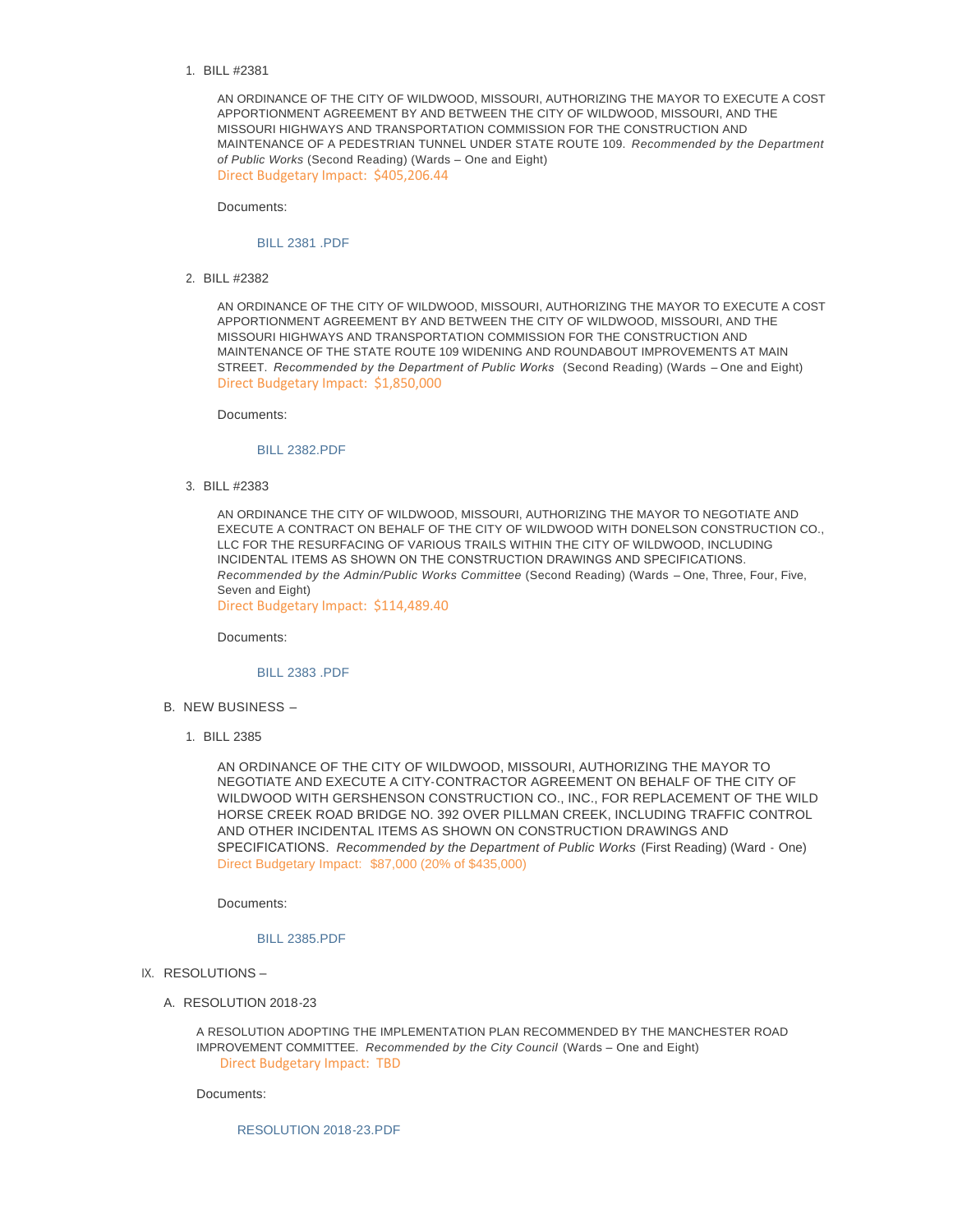BILL #2381 1.

AN ORDINANCE OF THE CITY OF WILDWOOD, MISSOURI, AUTHORIZING THE MAYOR TO EXECUTE A COST APPORTIONMENT AGREEMENT BY AND BETWEEN THE CITY OF WILDWOOD, MISSOURI, AND THE MISSOURI HIGHWAYS AND TRANSPORTATION COMMISSION FOR THE CONSTRUCTION AND MAINTENANCE OF A PEDESTRIAN TUNNEL UNDER STATE ROUTE 109. *Recommended by the Department of Public Works* (Second Reading) (Wards – One and Eight) Direct Budgetary Impact: \$405,206.44

Documents:

### [BILL 2381 .PDF](https://www.cityofwildwood.com/AgendaCenter/ViewFile/Item/16329?fileID=23769)

BILL #2382 2.

AN ORDINANCE OF THE CITY OF WILDWOOD, MISSOURI, AUTHORIZING THE MAYOR TO EXECUTE A COST APPORTIONMENT AGREEMENT BY AND BETWEEN THE CITY OF WILDWOOD, MISSOURI, AND THE MISSOURI HIGHWAYS AND TRANSPORTATION COMMISSION FOR THE CONSTRUCTION AND MAINTENANCE OF THE STATE ROUTE 109 WIDENING AND ROUNDABOUT IMPROVEMENTS AT MAIN STREET. *Recommended by the Department of Public Works* (Second Reading) (Wards - One and Eight) Direct Budgetary Impact: \$1,850,000

Documents:

### [BILL 2382.PDF](https://www.cityofwildwood.com/AgendaCenter/ViewFile/Item/16330?fileID=23770)

BILL #2383 3.

AN ORDINANCE THE CITY OF WILDWOOD, MISSOURI, AUTHORIZING THE MAYOR TO NEGOTIATE AND EXECUTE A CONTRACT ON BEHALF OF THE CITY OF WILDWOOD WITH DONELSON CONSTRUCTION CO., LLC FOR THE RESURFACING OF VARIOUS TRAILS WITHIN THE CITY OF WILDWOOD, INCLUDING INCIDENTAL ITEMS AS SHOWN ON THE CONSTRUCTION DRAWINGS AND SPECIFICATIONS. *Recommended by the Admin/Public Works Committee* (Second Reading) (Wards – One, Three, Four, Five, Seven and Eight)

Direct Budgetary Impact: \$114,489.40

Documents:

### [BILL 2383 .PDF](https://www.cityofwildwood.com/AgendaCenter/ViewFile/Item/16331?fileID=23771)

- B. NEW BUSINESS -
	- BILL 2385 1.

AN ORDINANCE OF THE CITY OF WILDWOOD, MISSOURI, AUTHORIZING THE MAYOR TO NEGOTIATE AND EXECUTE A CITY-CONTRACTOR AGREEMENT ON BEHALF OF THE CITY OF WILDWOOD WITH GERSHENSON CONSTRUCTION CO., INC., FOR REPLACEMENT OF THE WILD HORSE CREEK ROAD BRIDGE NO. 392 OVER PILLMAN CREEK, INCLUDING TRAFFIC CONTROL AND OTHER INCIDENTAL ITEMS AS SHOWN ON CONSTRUCTION DRAWINGS AND SPECIFICATIONS. *Recommended by the Department of Public Works* (First Reading) (Ward - One) Direct Budgetary Impact: \$87,000 (20% of \$435,000)

Documents:

## [BILL 2385.PDF](https://www.cityofwildwood.com/AgendaCenter/ViewFile/Item/16365?fileID=23784)

- IX. RESOLUTIONS -
	- A. RESOLUTION 2018-23

A RESOLUTION ADOPTING THE IMPLEMENTATION PLAN RECOMMENDED BY THE MANCHESTER ROAD IMPROVEMENT COMMITTEE. *Recommended by the City Council* (Wards – One and Eight) Direct Budgetary Impact: TBD

Documents:

[RESOLUTION 2018-23.PDF](https://www.cityofwildwood.com/AgendaCenter/ViewFile/Item/16335?fileID=23772)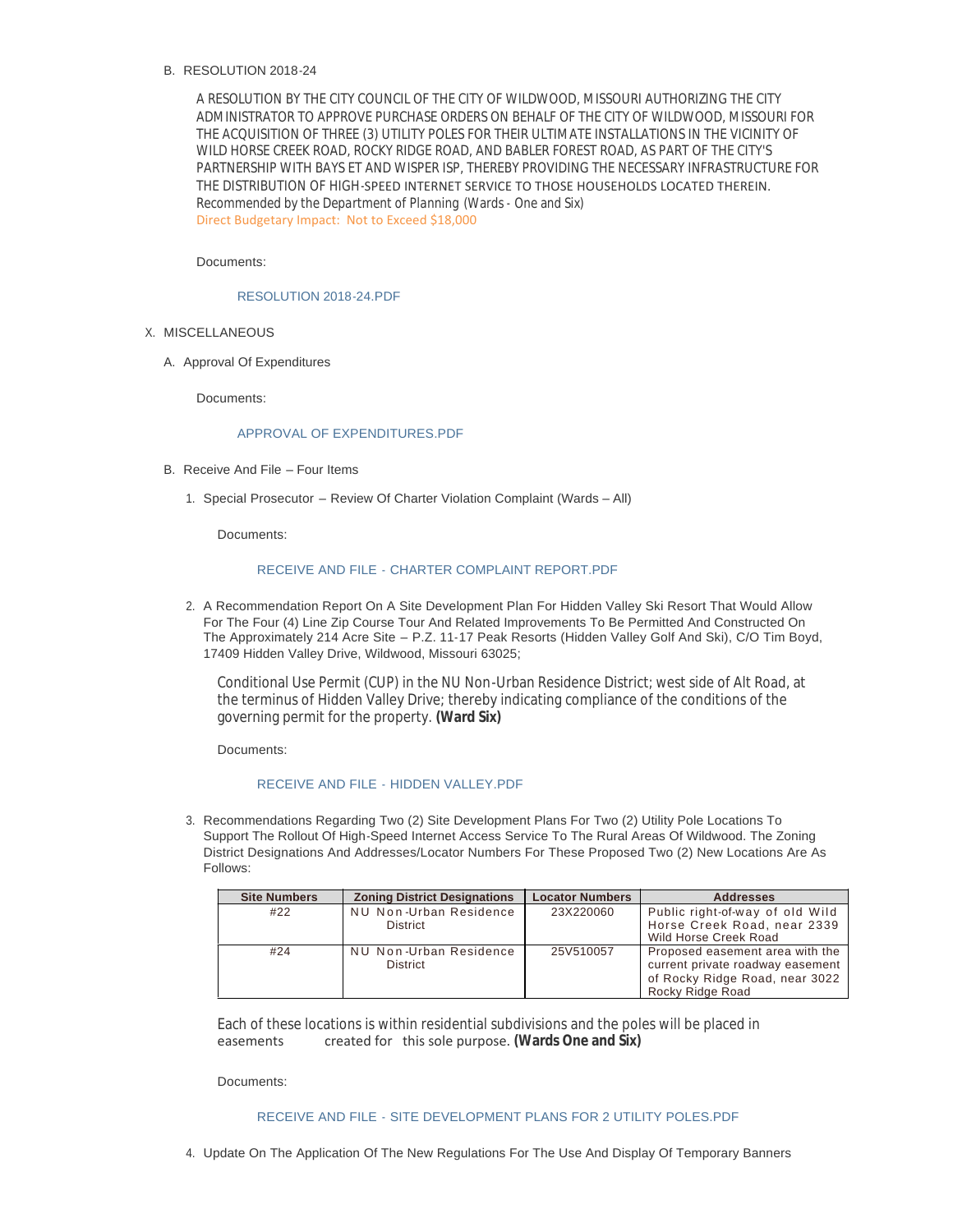# B. RESOLUTION 2018-24

A RESOLUTION BY THE CITY COUNCIL OF THE CITY OF WILDWOOD, MISSOURI AUTHORIZING THE CITY ADMINISTRATOR TO APPROVE PURCHASE ORDERS ON BEHALF OF THE CITY OF WILDWOOD, MISSOURI FOR THE ACQUISITION OF THREE (3) UTILITY POLES FOR THEIR ULTIMATE INSTALLATIONS IN THE VICINITY OF WILD HORSE CREEK ROAD, ROCKY RIDGE ROAD, AND BABLER FOREST ROAD, AS PART OF THE CITY'S PARTNERSHIP WITH BAYS ET AND WISPER ISP, THEREBY PROVIDING THE NECESSARY INFRASTRUCTURE FOR THE DISTRIBUTION OF HIGH-SPEED INTERNET SERVICE TO THOSE HOUSEHOLDS LOCATED THEREIN. *Recommended by the Department of Planning* (Wards - One and Six) Direct Budgetary Impact: Not to Exceed \$18,000

## Documents:

## [RESOLUTION 2018-24.PDF](https://www.cityofwildwood.com/AgendaCenter/ViewFile/Item/16364?fileID=23783)

- X. MISCELLANEOUS
	- A. Approval Of Expenditures

Documents:

## [APPROVAL OF EXPENDITURES.PDF](https://www.cityofwildwood.com/AgendaCenter/ViewFile/Item/16338?fileID=23773)

- B. Receive And File Four Items
	- 1. Special Prosecutor Review Of Charter Violation Complaint (Wards All)

Documents:

## RECEIVE AND FILE - [CHARTER COMPLAINT REPORT.PDF](https://www.cityofwildwood.com/AgendaCenter/ViewFile/Item/16340?fileID=23774)

2. A Recommendation Report On A Site Development Plan For Hidden Valley Ski Resort That Would Allow For The Four (4) Line Zip Course Tour And Related Improvements To Be Permitted And Constructed On The Approximately 214 Acre Site – P.Z. 11-17 Peak Resorts (Hidden Valley Golf And Ski), C/O Tim Boyd, 17409 Hidden Valley Drive, Wildwood, Missouri 63025;

Conditional Use Permit (CUP) in the NU Non-Urban Residence District; west side of Alt Road, at the terminus of Hidden Valley Drive; thereby indicating compliance of the conditions of the governing permit for the property. **(Ward Six)**

Documents:

#### RECEIVE AND FILE - [HIDDEN VALLEY.PDF](https://www.cityofwildwood.com/AgendaCenter/ViewFile/Item/16341?fileID=23775)

3. Recommendations Regarding Two (2) Site Development Plans For Two (2) Utility Pole Locations To Support The Rollout Of High-Speed Internet Access Service To The Rural Areas Of Wildwood. The Zoning District Designations And Addresses/Locator Numbers For These Proposed Two (2) New Locations Are As Follows:

| <b>Site Numbers</b> | <b>Zoning District Designations</b>       | <b>Locator Numbers</b> | <b>Addresses</b>                                                                                                          |
|---------------------|-------------------------------------------|------------------------|---------------------------------------------------------------------------------------------------------------------------|
| #22                 | NU Non-Urban Residence<br><b>District</b> | 23X220060              | Public right-of-way of old Wild<br>Horse Creek Road, near 2339<br>Wild Horse Creek Road                                   |
| #24                 | NU Non-Urban Residence<br><b>District</b> | 25V510057              | Proposed easement area with the<br>current private roadway easement<br>of Rocky Ridge Road, near 3022<br>Rocky Ridge Road |

Each of these locations is within residential subdivisions and the poles will be placed in<br>easements created for this sole purpose (Wards One and Six) created for this sole purpose. **(Wards One and Six)** 

Documents:

## RECEIVE AND FILE - [SITE DEVELOPMENT PLANS FOR 2 UTILITY POLES.PDF](https://www.cityofwildwood.com/AgendaCenter/ViewFile/Item/16342?fileID=23776)

4. Update On The Application Of The New Regulations For The Use And Display Of Temporary Banners